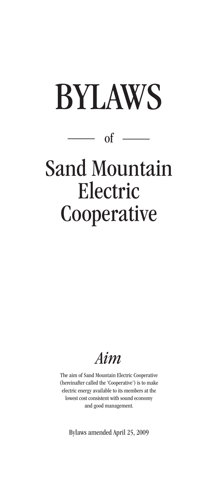# BYLAWS



## Sand Mountain Electric **Cooperative**

### *Aim*

The aim of Sand Mountain Electric Cooperative (hereinafter called the 'Cooperative') is to make electric energy available to its members at the lowest cost consistent with sound economy and good management.

Bylaws amended April 25, 2009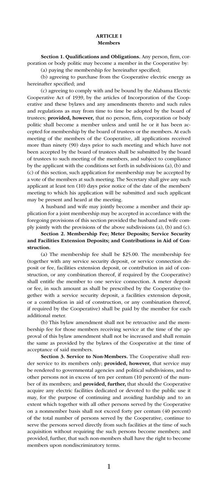Section 1. Qualifications and Obligations. Any person, firm, corporation or body politic may become a member in the Cooperative by:

(a) paying the membership fee hereinafter specified;

(b) agreeing to purchase from the Cooperative electric energy as hereinafter specified; and

(c) agreeing to comply with and be bound by the Alabama Electric Cooperative Act of 1939, by the articles of Incorporation of the Cooperative and these bylaws and any amendments thereto and such rules and regulations as may from time to time be adopted by the board of trustees; provided, however, that no person, firm, corporation or body politic shall become a member unless and until he or it has been accepted for membership by the board of trustees or the members. At each meeting of the members of the Cooperative, all applications received more than ninety (90) days prior to such meeting and which have not been accepted by the board of trustees shall be submitted by the board of trustees to such meeting of the members, and subject to compliance by the applicant with the conditions set forth in subdivisions (a), (b) and (c) of this section, such application for membership may be accepted by a vote of the members at such meeting. The Secretary shall give any such applicant at least ten (10) days prior notice of the date of the members' meeting to which his application will be submitted and such applicant may be present and heard at the meeting.

A husband and wife may jointly become a member and their application for a joint membership may be accepted in accordance with the foregoing provisions of this section provided the husband and wife comply jointly with the provisions of the above subdivisions (a), (b) and (c).

#### Section 2. Membership Fee; Meter Deposits; Service Security and Facilities Extension Deposits; and Contributions in Aid of Construction.

(a) The membership fee shall be \$25.00. The membership fee (together with any service security deposit, or service connection deposit or fee, facilities extension deposit, or contribution in aid of construction, or any combination thereof, if required by the Cooperative) shall entitle the member to one service connection. A meter deposit or fee, in such amount as shall be prescribed by the Cooperative (together with a service security deposit, a facilities extension deposit, or a contribution in aid of construction, or any combination thereof, if required by the Cooperative) shall be paid by the member for each additional meter.

(b) This bylaw amendment shall not be retroactive and the membership fee for those members receiving service at the time of the approval of this bylaw amendment shall not be increased and shall remain the same as provided by the bylaws of the Cooperative at the time of acceptance of said members.

Section 3. Service to Non-Members. The Cooperative shall render service to its members only; provided, however, that service may be rendered to governmental agencies and political subdivisions, and to other persons not in excess of ten per centum (10 percent) of the number of its members; and provided, further, that should the Cooperative acquire any electric facilities dedicated or devoted to the public use it may, for the purpose of continuing and avoiding hardship and to an extent which together with all other persons served by the Cooperative on a nonmember basis shall not exceed forty per centum (40 percent) of the total number of persons served by the Cooperative, continue to serve the persons served directly from such facilities at the time of such acquisition without requiring the such persons become members; and provided, further, that such non-members shall have the right to become members upon nondiscriminatory terms.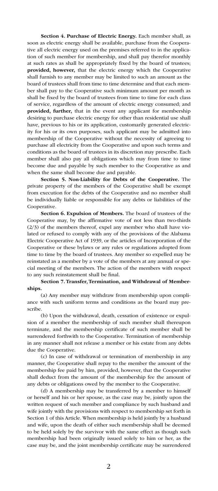Section 4. Purchase of Electric Energy. Each member shall, as soon as electric energy shall be available, purchase from the Cooperative all electric energy used on the premises referred to in the application of such member for membership, and shall pay therefor monthly at such rates as shall be appropriately fixed by the board of trustees; provided, however, that the electric energy which the Cooperative shall furnish to any member may be limited to such an amount as the board of trustees shall from time to time determine and that each member shall pay to the Cooperative such minimum amount per month as shall be fixed by the board of trustees from time to time for each class of service, regardless of the amount of electric energy consumed; and provided, further, that in the event any applicant for membership desiring to purchase electric energy for other than residential use shall have, previous to his or its application, customarily generated electricity for his or its own purposes, such applicant may be admitted into membership of the Cooperative without the necessity of agreeing to purchase all electricity from the Cooperative and upon such terms and conditions as the board of trustees in its discretion may prescribe. Each member shall also pay all obligations which may from time to time become due and payable by such member to the Cooperative as and when the same shall become due and payable.

Section 5. Non-Liability for Debts of the Cooperative. The private property of the members of the Cooperative shall be exempt from execution for the debts of the Cooperative and no member shall be individually liable or responsible for any debts or liabilities of the Cooperative.

Section 6. Expulsion of Members. The board of trustees of the Cooperative may, by the affirmative vote of not less than two-thirds (2/3) of the members thereof, expel any member who shall have violated or refused to comply with any of the provisions of the Alabama Electric Cooperative Act of 1939, or the articles of Incorporation of the Cooperative or these bylaws or any rules or regulations adopted from time to time by the board of trustees. Any member so expelled may be reinstated as a member by a vote of the members at any annual or special meeting of the members. The action of the members with respect to any such reinstatement shall be final.

#### Section 7. Transfer, Termination, and Withdrawal of Memberships.

(a) Any member may withdraw from membership upon compliance with such uniform terms and conditions as the board may prescribe.

(b) Upon the withdrawal, death, cessation of existence or expulsion of a member the membership of such member shall thereupon terminate, and the membership certificate of such member shall be surrendered forthwith to the Cooperative. Termination of membership in any manner shall not release a member or his estate from any debts due the Cooperative.

(c) In case of withdrawal or termination of membership in any manner, the Cooperative shall repay to the member the amount of the membership fee paid by him, provided, however, that the Cooperative shall deduct from the amount of the membership fee the amount of any debts or obligations owed by the member to the Cooperative.

(d) A membership may be transferred by a member to himself or herself and his or her spouse, as the case may be, jointly upon the written request of such member and compliance by such husband and wife jointly with the provisions with respect to membership set forth in Section 1 of this Article. When membership is held jointly by a husband and wife, upon the death of either such membership shall be deemed to be held solely by the survivor with the same effect as though such membership had been originally issued solely to him or her, as the case may be, and the joint membership certificate may be surrendered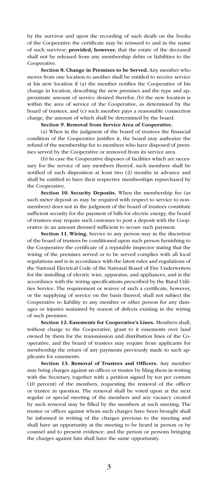by the survivor and upon the recording of such death on the books of the Cooperative the certificate may be reissued to and in the name of such survivor; provided, however, that the estate of the deceased shall not be released from any membership debts or liabilities to the Cooperative.

Section 8. Change in Premises to be Served. Any member who moves from one location to another shall be entitled to receive service at his new location if (a) the member notifies the Cooperative of his change in location, describing the new premises and the type and approximate amount of service desired therefor, (b) the new location is within the area of service of the Cooperative, as determined by the board of trustees, and (c) such member pays a reasonable connection charge, the amount of which shall be determined by the board.

#### Section 9. Removal from Service Area of Cooperative.

(a) When in the judgment of the board of trustees the financial condition of the Cooperative justifies it, the board may authorize the refund of the membership fee to members who have disposed of premises served by the Cooperative or removed from its service area.

(b) In case the Cooperative disposes of facilities which are necessary for the service of any members thereof, such members shall be notified of such disposition at least two (2) months in advance and shall be entitled to have their respective memberships repurchased by the Cooperative.

Section 10. Security Deposits. When the membership fee (as such meter deposit as may be required with respect to service to nonmembers) does not in the judgment of the board of trustees constitute sufficient security for the payment of bills for electric energy, the board of trustees may require such customer to post a deposit with the Cooperative in an amount deemed sufficient to secure such payment.

Section 11. Wiring. Service to any person may in the discretion of the board of trustees be conditioned upon such person furnishing to the Cooperative the certificate of a reputable inspector stating that the wiring of the premises served or to be served complies with all local regulations and is in accordance with the latest rules and regulations of the National Electrical Code of the National Board of Fire Underwriters for the installing of electric wire, apparatus, and appliances, and is the accordance with the wiring specifications prescribed by the Rural Utilities Service. The requirement or waiver of such a certificate, however, or the supplying of service on the basis thereof, shall not subject the Cooperative to liability to any member or other person for any damages or injuries sustained by reason of defects existing in the wiring of such premises.

Section 12. Easements for Cooperative's Lines. Members shall, without charge to the Cooperative, grant to it easements over land owned by them for the transmission and distribution lines of the Cooperative, and the board of trustees may require from applicants for membership the return of any payments previously made to such applicants for easements.

Section 13. Removal of Trustees and Officers. Any member may bring charges against an officer or trustee by filing them in writing with the Secretary, together with a petition signed by ten per centum (10 percent) of the members, requesting the removal of the officer or trustee in question. The removal shall be voted upon at the next regular or special meeting of the members and any vacancy created by such removal may be filled by the members at such meeting. The trustee or officer against whom such charges have been brought shall be informed in writing of the charges previous to the meeting and shall have an opportunity at the meeting to be heard in person or by counsel and to present evidence; and the person or persons bringing the charges against him shall have the same opportunity.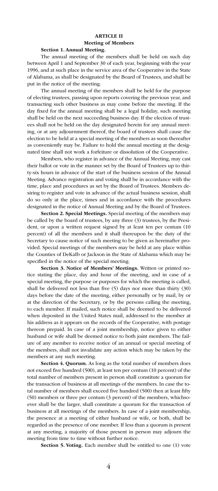#### ARTICLE II Meeting of Members Section 1. Annual Meeting.

The annual meeting of the members shall be held on such day between April 1 and September 30 of each year, beginning with the year 1996, and at such place in the service area of the Cooperative in the State of Alabama, as shall be designated by the Board of Trustees, and shall be put in the notice of the meeting.

The annual meeting of the members shall be held for the purpose of electing trustees, passing upon reports covering the previous year, and transacting such other business as may come before the meeting. If the day fixed for the annual meeting shall be a legal holiday, such meeting shall be held on the next succeeding business day. If the election of trustees shall not be held on the day designated herein for any annual meeting, or at any adjournment thereof, the board of trustees shall cause the election to be held at a special meeting of the members as soon thereafter as conveniently may be. Failure to hold the annual meeting at the designated time shall not work a forfeiture or dissolution of the Cooperative.

Members, who register in advance of the Annual Meeting, may cast their ballot or vote in the manner set by the Board of Trustees up to thirty-six hours in advance of the start of the business session of the Annual Meeting. Advance registration and voting shall be in accordance with the time, place and procedures as set by the Board of Trustees. Members desiring to register and vote in advance of the actual business session, shall do so only at the place, times and in accordance with the procedures designated in the notice of Annual Meeting and by the Board of Trustees.

Section 2. Special Meetings. Special meeting of the members may be called by the board of trustees, by any three (3) trustees, by the President, or upon a written request signed by at least ten per centum (10 percent) of all the members and it shall thereupon be the duty of the Secretary to cause notice of such meeting to be given as hereinafter provided. Special meetings of the members may be held at any place within the Counties of DeKaIb or Jackson in the State of Alabama which may be specified in the notice of the special meeting.

Section 3. Notice of Members' Meetings. Written or printed notice stating the place, day and hour of the meeting, and in case of a special meeting, the purpose or purposes for which the meeting is called, shall be delivered not less than five (5) days nor more than thirty (30) days before the date of the meeting, either personally or by mail, by or at the direction of the Secretary, or by the persons calling the meeting, to each member. If mailed, such notice shall be deemed to be delivered when deposited in the United States mail, addressed to the member at his address as it appears on the records of the Cooperative, with postage thereon prepaid. In case of a joint membership, notice given to either husband or wife shall be deemed notice to both joint members. The failure of any member to receive notice of an annual or special meeting of the members, shall not invalidate any action which may be taken by the members at any such meeting.

Section 4. Quorum. As long as the total number of members does not exceed five hundred (500), at least ten per centum (10 percent) of the total number of members present in person shall constitute a quorum for the transaction of business at all meetings of the members. In case the total number of members shall exceed five hundred (500) then at least fifty (50) members or three per centum (3 percent) of the members, whichsoever shall be the larger, shall constitute a quorum for the transaction of business at all meetings of the members. In case of a joint membership, the presence at a meeting of either husband or wife, or both, shall be regarded as the presence of one member. If less than a quorum is present at any meeting, a majority of those present in person may adjourn the meeting from time to time without further notice.

Section 5. Voting. Each member shall be entitled to one (1) vote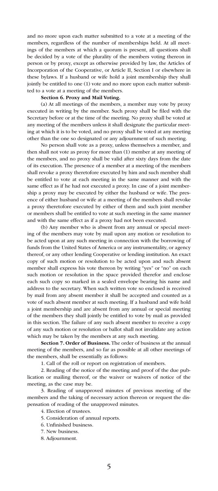and no more upon each matter submitted to a vote at a meeting of the members, regardless of the number of memberships held. At all meetings of the members at which a quorum is present, all questions shall be decided by a vote of the plurality of the members voting thereon in person or by proxy, except as otherwise provided by law, the Articles of Incorporation of the Cooperative, or Article II, Section I or elsewhere in these bylaws. If a husband or wife hold a joint membership they shall jointly be entitled to one (1) vote and no more upon each matter submitted to a vote at a meeting of the members.

#### Section 6. Proxy and Mail Voting.

(a) At all meetings of the members, a member may vote by proxy executed in writing by the member. Such proxy shall be filed with the Secretary before or at the time of the meeting. No proxy shall be voted at any meeting of the members unless it shall designate the particular meeting at which it is to be voted, and no proxy shall be voted at any meeting other than the one so designated or any adjournment of such meeting.

No person shall vote as a proxy, unless themselves a member, and then shall not vote as proxy for more than (1) member at any meeting of the members, and no proxy shall be valid after sixty days from the date of its execution. The presence of a member at a meeting of the members shall revoke a proxy theretofore executed by him and such member shall be entitled to vote at each meeting in the same manner and with the same effect as if he had not executed a proxy. In case of a joint membership a proxy may be executed by either the husband or wife. The presence of either husband or wife at a meeting of the members shall revoke a proxy theretofore executed by either of them and such joint member or members shall be entitled to vote at such meeting in the same manner and with the same effect as if a proxy had not been executed.

(b) Any member who is absent from any annual or special meeting of the members may vote by mail upon any motion or resolution to be acted upon at any such meeting in connection with the borrowing of funds from the United States of America or any instrumentality, or agency thereof, or any other lending Cooperative or lending institution. An exact copy of such motion or resolution to be acted upon and such absent member shall express his vote thereon by writing "yes" or "no" on each such motion or resolution in the space provided therefor and enclose each such copy so marked in a sealed envelope bearing his name and address to the secretary. When such written vote so enclosed is received by mail from any absent member it shall be accepted and counted as a vote of such absent member at such meeting. If a husband and wife hold a joint membership and are absent from any annual or special meeting of the members they shall jointly be entitled to vote by mail as provided in this section. The failure of any such absent member to receive a copy of any such motion or resolution or ballot shall not invalidate any action which may be taken by the members at any such meeting.

Section 7. Order of Business. The order of business at the annual meeting of the members, and so far as possible at all other meetings of the members, shall be essentially as follows:

1. Call of the roll or report on registration of members.

2. Reading of the notice of the meeting and proof of the due publication or mailing thereof, or the waiver or waivers of notice of the meeting, as the case may be.

3. Reading of unapproved minutes of previous meeting of the members and the taking of necessary action thereon or request the dispensation of reading of the unapproved minutes.

4. Election of trustees.

5. Consideration of annual reports.

- 6. Unfinished business.
- 7. New business.
- 8. Adjournment.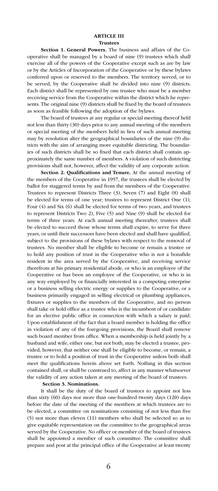#### ARTICLE III Trustees

Section 1. General Powers. The business and affairs of the Cooperative shall be managed by a board of nine (9) trustees which shall exercise all of the powers of the Cooperative except such as are by law or by the Articles of Incorporation of the Cooperative or by these bylaws conferred upon or reserved to the members. The territory served, or to be served, by the Cooperative shall be divided into nine (9) districts. Each district shall be represented by one trustee who must be a member receiving service from the Cooperative within the district which he represents. The original nine (9) districts shall be fixed by the board of trustees as soon as feasible following the adoption of the bylaws.

The board of trustees at any regular or special meeting thereof held not less than thirty (30) days prior to any annual meeting of the members or special meeting of the members held in lieu of such annual meeting may by resolution alter the geographical boundaries of the nine (9) districts with the aim of arranging more equitable districting. The boundaries of such districts shall be so fixed that each district shall contain approximately the same number of members. A violation of such districting provisions shall not, however, affect the validity of any corporate action.

Section 2. Qualifications and Tenure. At the annual meeting of the members of the Cooperative in 1957, the trustees shall be elected by ballot for staggered terms by and from the members of the Cooperative. Trustees to represent Districts Three (3), Seven (7) and Eight (8) shall be elected for terms of one year; trustees to represent District One (1), Four (4) and Six (6) shall be elected for terms of two years, and trustees to represent Districts Two 2), Five (5) and Nine (9) shall be elected for terms of three years. At each annual meeting thereafter, trustees shall be elected to succeed those whose terms shall expire, to serve for three years, or until their successors have been elected and shall have qualified, subject to the provisions of these bylaws with respect to the removal of trustees. No member shall be eligible to become or remain a trustee or to hold any position of trust in the Cooperative who is not a bonafide resident in the area served by the Cooperative, and receiving service therefrom at his primary residential abode, or who is an employee of the Cooperative or has been an employee of the Cooperative, or who is in any way employed by or financially interested in a competing enterprise or a business selling electric energy or supplies to the Cooperative, or a business primarily engaged in selling electrical or plumbing appliances, fixtures or supplies to the members of the Cooperative, and no person shall take or hold office as a trustee who is the incumbent of or candidate for an elective public office in connection with which a salary is paid. Upon establishment of the fact that a board member is holding the office in violation of any of the foregoing provisions, the Board shall remove such board member from office. When a membership is held jointly by a husband and wife, either one, but not both, may be elected a trustee, provided, however, that neither one shall be eligible to become, or remain, a trustee or to hold a position of trust in the Cooperative unless both shall meet the qualifications herein above set forth. Nothing in this section contained shall, or shall be construed to, affect in any manner whatsoever the validity of any action taken at any meeting of the board of trustees.

#### Section 3. Nominations.

It shall be the duty of the board of trustees to appoint not less than sixty (60) days nor more than one-hundred twenty days (120) days before the date of the meeting of the members at which trustees are to be elected, a committee on nominations consisting of not less than five (5) nor more than eleven (11) members who shall be selected so as to give equitable representation on the committee to the geographical areas served by the Cooperative. No officer or member of the board of trustees shall be appointed a member of such committee. The committee shall prepare and post at the principal office of the Cooperative at least twenty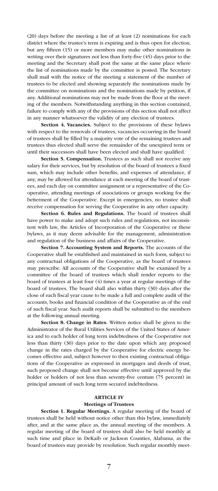(20) days before the meeting a list of at least (2) nominations for each district where the trustee's term is expiring and is thus open for election, but any fifteen (15) or more members may make other nominations in writing over their signatures not less than forty-five (45) days prior to the meeting and the Secretary shall post the same at the same place where the list of nominations made by the committee is posted. The Secretary shall mail with the notice of the meeting a statement of the number of trustees to be elected and showing separately the nominations made by the committee on nominations and the nominations made by petition, if any. Additional nominations may not be made from the floor at the meeting of the members. Notwithstanding anything in this section contained, failure to comply with any of the provisions of this section shall not affect in any manner whatsoever the validity of any election of trustees.

Section 4. Vacancies. Subject to the provisions of these bylaws with respect to the removals of trustees, vacancies occurring in the board of trustees shall be filled by a majority vote of the remaining trustees and trustees thus elected shall serve the remainder of the unexpired term or until their successors shall have been elected and shall have qualified.

Section 5. Compensation. Trustees as such shall not receive any salary for their services, but by resolution of the board of trustees a fixed sum, which may include other benefits, and expenses of attendance, if any, may be allowed for attendance at each meeting of the board of trustees, and each day on committee assignment or a representative of the Cooperative, attending meetings of associations or groups working for the betterment of the Cooperative. Except in emergencies, no trustee shall receive compensation for serving the Cooperative in any other capacity.

Section 6. Rules and Regulations. The board of trustees shall have power to make and adopt such rules and regulations, not inconsistent with law, the Articles of Incorporation of the Cooperative or these bylaws, as it may deem advisable for the management, administration and regulation of the business and affairs of the Cooperative.

Section 7. Accounting System and Reports. The accounts of the Cooperative shall be established and maintained in such form, subject to any contractual obligations of the Cooperative, as the board of trustees may prescribe. All accounts of the Cooperative shall be examined by a committee of the board of trustees which shall render reports to the board of trustees at least four (4) times a year at regular meetings of the board of trustees. The board shall also within thirty (30) days after the close of each fiscal year cause to be made a full and complete audit of the accounts, books and financial condition of the Cooperative as of the end of such fiscal year. Such audit reports shall be submitted to the members at the following annual meeting.

Section 8. Change in Rates. Written notice shall be given to the Administrator of the Rural Utilities Services of the United States of America and to each holder of long term indebtedness of the Cooperative not less than thirty (30) days prior to the date upon which any proposed change in the rates charged by the Cooperative for electric energy becomes effective and, subject however to then existing contractual obligations of the Cooperative as expressed in mortgages and deeds of trust, such proposed change shall not become effective until approved by the holder or holders of not less than seventy-five centum (75 percent) in principal amount of such long term secured indebtedness.

#### ARTICLE IV

#### Meetings of Trustees

Section 1. Regular Meetings. A regular meeting of the board of trustees shall be held without notice other than this bylaw, immediately after, and at the same place as, the annual meeting of the members. A regular meeting of the board of trustees shall also be held monthly at such time and place in DeKaib or Jackson Counties, Alabama, as the board of trustees may provide by resolution. Such regular monthly meet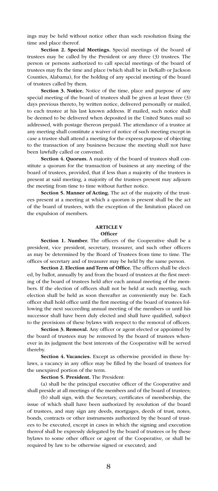ings may be held without notice other than such resolution fixing the time and place thereof.

Section 2. Special Meetings. Special meetings of the board of trustees may be called by the President or any three (3) trustees. The person or persons authorized to call special meetings of the board of trustees may fix the time and place (which shall be in DeKalb or Jackson Counties, Alabama), for the holding of any special meeting of the board of trustees called by them.

Section 3. Notice. Notice of the time, place and purpose of any special meeting of the board of trustees shall be given at least three (3) days previous thereto, by written notice, delivered personally or mailed, to each trustee at his last known address. If mailed, such notice shall be deemed to be delivered when deposited in the United States mail so addressed, with postage thereon prepaid. The attendance of a trustee at any meeting shall constitute a waiver of notice of such meeting except in case a trustee shall attend a meeting for the express purpose of objecting to the transaction of any business because the meeting shall not have been lawfully called or convened.

Section 4. Quorum. A majority of the board of trustees shall constitute a quorum for the transaction of business at any meeting of the board of trustees, provided, that if less than a majority of the trustees is present at said meeting, a majority of the trustees present may adjourn the meeting from time to time without further notice.

Section 5. Manner of Acting. The act of the majority of the trustees present at a meeting at which a quorum is present shall be the act of the board of trustees, with the exception of the limitation placed on the expulsion of members.

#### ARTICLE V **Officer**

Section 1. Number. The officers of the Cooperative shall be a president, vice president, secretary, treasurer, and such other officers as may be determined by the Board of Trustees from time to time. The offices of secretary and of treasurer may be held by the same person.

Section 2. Election and Term of Office. The officers shall be elected, by ballot, annually by and from the board of trustees at the first meeting of the board of trustees held after each annual meeting of the members. If the election of officers shall not be held at such meeting, such election shall be held as soon thereafter as conveniently may be. Each officer shall hold office until the first meeting of the board of trustees following the next succeeding annual meeting of the members or until his successor shall have been duly elected and shall have qualified, subject to the provisions of these bylaws with respect to the removal of officers.

Section 3. Removal. Any officer or agent elected or appointed by the board of trustees may be removed by the board of trustees whenever in its judgment the best interests of the Cooperative will be served thereby.

Section 4. Vacancies. Except as otherwise provided in these bylaws, a vacancy in any office may be filled by the board of trustees for the unexpired portion of the term.

Section 5. President. The President:

(a) shall be the principal executive officer of the Cooperative and shall preside at all meetings of the members and of the board of trustees;

(b) shall sign, with the Secretary, certificates of membership, the issue of which shall have been authorized by resolution of the board of trustees, and may sign any deeds, mortgages, deeds of trust, notes, bonds, contracts or other instruments authorized by the board of trustees to be executed, except in cases in which the signing and execution thereof shall be expressly delegated by the board of trustees or by these bylaws to some other officer or agent of the Cooperative, or shall be required by law to be otherwise signed or executed; and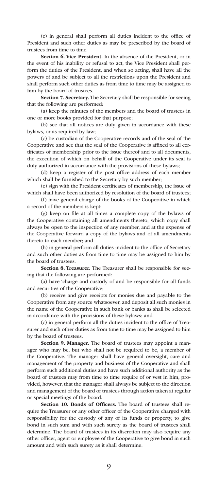(c) in general shall perform all duties incident to the office of President and such other duties as may be prescribed by the board of trustees from time to time.

Section 6. Vice President. In the absence of the President, or in the event of his inability or refusal to act, the Vice President shall perform the duties of the President, and when so acting, shall have all the powers of and be subject to all the restrictions upon the President and shall perform such other duties as from time to time may be assigned to him by the board of trustees.

Section 7. Secretary. The Secretary shall be responsible for seeing that the following are performed:

(a) keep the minutes of the members and the board of trustees in one or more books provided for that purpose;

(b) see that all notices are duly given in accordance with these bylaws, or as required by law;

(c) be custodian of the Cooperative records and of the seal of the Cooperative and see that the seal of the Cooperative is affixed to all certificates of membership prior to the issue thereof and to all documents, the execution of which on behalf of the Cooperative under its seal is duly authorized in accordance with the provisions of these bylaws;

(d) keep a register of the post office address of each member which shall be furnished to the Secretary by such member;

(e) sign with the President certificates of membership, the issue of which shall have been authorized by resolution of the board of trustees;

(f) have general charge of the books of the Cooperative in which a record of the members is kept;

(g) keep on file at all times a complete copy of the bylaws of the Cooperative containing all amendments thereto, which copy shall always be open to the inspection of any member, and at the expense of the Cooperative forward a copy of the bylaws and of all amendments thereto to each member; and

(h) in general perform all duties incident to the office of Secretary and such other duties as from time to time may be assigned to him by the board of trustees.

Section 8. Treasurer. The Treasurer shall be responsible for seeing that the following are performed:

(a) have 'charge and custody of and be responsible for all funds and securities of the Cooperative;

(b) receive and give receipts for monies due and payable to the Cooperative from any source whatsoever, and deposit all such monies in the name of the Cooperative in such bank or banks as shall be selected in accordance with the provisions of these bylaws; and

(c) in general perform all the duties incident to the office of Treasurer and such other duties as from time to time may be assigned to him by the board of trustees.

Section 9. Manager. The board of trustees may appoint a manager who may be, but who shall not be required to be, a member of the Cooperative. The manager shall have general oversight, care and management of the property and business of the Cooperative and shall perform such additional duties and have such additional authority as the board of trustees may from time to time require of or vest in him, provided, however, that the manager shall always be subject to the direction and management of the board of trustees through action taken at regular or special meetings of the board.

Section 10. Bonds of Officers. The board of trustees shall require the Treasurer or any other officer of the Cooperative charged with responsibility for the custody of any of its funds or property, to give bond in such sum and with such surety as the board of trustees shall determine. The board of trustees in its discretion may also require any other officer, agent or employee of the Cooperative to give bond in such amount and with such surety as it shall determine.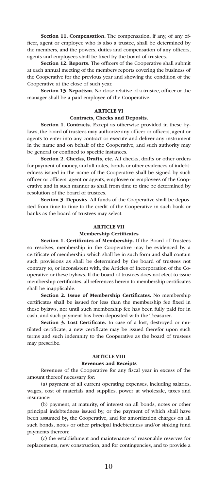Section 11. Compensation. The compensation, if any, of any officer, agent or employee who is also a trustee, shall be determined by the members, and the powers, duties and compensation of any officers, agents and employees shall be fixed by the board of trustees.

Section 12. Reports. The officers of the Cooperative shall submit at each annual meeting of the members reports covering the business of the Cooperative for the previous year and showing the condition of the Cooperative at the close of such year.

Section 13. Nepotism. No close relative of a trustee, officer or the manager shall be a paid employee of the Cooperative.

#### ARTICLE VI

#### Contracts, Checks and Deposits.

Section 1. Contracts. Except as otherwise provided in these bylaws, the board of trustees may authorize any officer or officers, agent or agents to enter into any contract or execute and deliver any instrument in the name and on behalf of the Cooperative, and such authority may be general or confined to specific instances.

Section 2. Checks, Drafts, etc. All checks, drafts or other orders for payment of money, and all notes, bonds or other evidences of indebtedness issued in the name of the Cooperative shall be signed by such officer or officers, agent or agents, employee or employees of the Cooperative and in such manner as shall from time to time be determined by resolution of the board of trustees.

Section 3. Deposits. All funds of the Cooperative shall be deposited from time to time to the credit of the Cooperative in such bank or banks as the board of trustees may select.

#### ARTICLE VII

#### Membership Certificates

Section 1. Certificates of Membership. If the Board of Trustees

so resolves, membership in the Cooperative may be evidenced by a certificate of membership which shall be in such form and shall contain such provisions as shall be determined by the board of trustees not contrary to, or inconsistent with, the Articles of Incorporation of the Cooperative or these bylaws. If the board of trustees does not elect to issue membership certificates, all references herein to membership certificates shall be inapplicable.

Section 2. Issue of Membership Certificates. No membership certificates shall be issued for less than the membership fee fixed in these bylaws, nor until such membership fee has been fully paid for in cash, and such payment has been deposited with the Treasurer.

Section 3. Lost Certificate. In case of a lost, destroyed or mutilated certificate, a new certificate may be issued therefor upon such terms and such indemnity to the Cooperative as the board of trustees may prescribe.

#### ARTICLE VIII

#### Revenues and Receipts

Revenues of the Cooperative for any fiscal year in excess of the amount thereof necessary for:

(a) payment of all current operating expenses, including salaries, wages, cost of materials and supplies, power at wholesale, taxes and insurance;

(b) payment, at maturity, of interest on all bonds, notes or other principal indebtedness issued by, or the payment of which shall have been assumed by, the Cooperative, and for amortization charges on all such bonds, notes or other principal indebtedness and/or sinking fund payments thereon;

(c) the establishment and maintenance of reasonable reserves for replacements, new construction, and for contingencies, and to provide a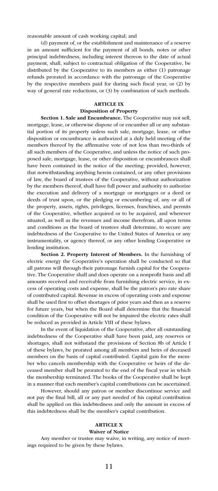reasonable amount of cash working capital; and

(d) payment of, or the establishment and maintenance of a reserve in an amount sufficient for the payment of all bonds, notes or other principal indebtedness, including interest thereon to the date of actual payment, shall, subject to contractual obligation of the Cooperative, be distributed by the Cooperative to its members as either (1) patronage refunds prorated in accordance with the patronage of the Cooperative by the respective members paid for during such fiscal year, or (2) by way of general rate reductions, or (3) by combination of such methods.

#### ARTICLE IX

#### Disposition of Property

Section 1. Sale and Encumbrance. The Cooperative may not sell, mortgage, lease, or otherwise dispose of or encumber all or any substantial portion of its property unless such sale, mortgage, lease, or other disposition or encumbrance is authorized at a duly held meeting of the members thereof by the affirmative vote of not less than two-thirds of all such members of the Cooperative, and unless the notice of such proposed sale, mortgage, lease, or other disposition or encumbrances shall have been contained in the notice of the meeting; provided, however, that notwithstanding anything herein contained, or any other provisions of law, the board of trustees of the Cooperative, without authorization by the members thereof, shall have full power and authority to authorize the execution and delivery of a mortgage or mortgages or a deed or deeds of trust upon, or the pledging or encumbering of, any or all of the property, assets, rights, privileges, licenses, franchises, and permits of the Cooperative, whether acquired or to be acquired, and wherever situated, as well as the revenues and income therefrom, all upon terms and conditions as the board of trustees shall determine, to secure any indebtedness of the Cooperative to the United States of America or any instrumentality, or agency thereof, or any other lending Cooperative or lending institution.

Section 2. Property Interest of Members. In the furnishing of electric energy the Cooperative's operation shall be conducted so that all patrons will through their patronage furnish capital for the Cooperative. The Cooperative shall and does operate on a nonprofit basis and all amounts received and receivable from furnishing electric service, in excess of operating costs and expense, shall be the patron's pro rate share of contributed capital. Revenue in excess of operating costs and expense shall be used first to offset shortages of prior years and then as a reserve for future years, but when the Board shall determine that the financial condition of the Cooperative will not be impaired the electric rates shall be reduced as provided in Article VIII of these bylaws.

In the event of liquidation of the Cooperative, after all outstanding indebtedness of the Cooperative shall have been paid, any reserves or shortages, shall not withstand the provisions of Section 8b of Article I of these bylaws, be prorated among all members and heirs of deceased members on the basis of capital contributed. Capital gain for the member who cancels membership with the Cooperative or heirs of the deceased member shall be prorated to the end of the fiscal year in which the membership terminated. The books of the Cooperative shall be kept in a manner that each member's capital contributions can be ascertained.

However, should any patron or member discontinue service and not pay the final bill, all or any part needed of his capital contribution shall be applied on this indebtedness and only the amount in excess of this indebtedness shall be the member's capital contribution.

#### ARTICLE X

#### Waiver of Notice

Any member or trustee may waive, in writing, any notice of meetings required to be given by these bylaws.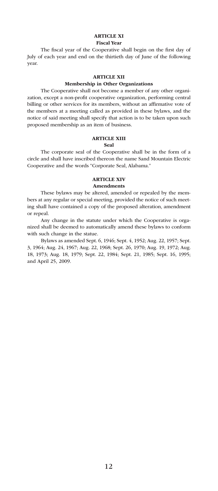#### ARTICLE XI Fiscal Year

The fiscal year of the Cooperative shall begin on the first day of July of each year and end on the thirtieth day of June of the following year.

#### ARTICLE XII

#### Membership in Other Organizations

The Cooperative shall not become a member of any other organization, except a non-profit cooperative organization, performing central billing or other services for its members, without an affirmative vote of the members at a meeting called as provided in these bylaws, and the notice of said meeting shall specify that action is to be taken upon such proposed membership as an item of business.

#### ARTICLE XIII

#### Seal

The corporate seal of the Cooperative shall be in the form of a circle and shall have inscribed thereon the name Sand Mountain Electric Cooperative and the words "Corporate Seal, Alabama."

#### ARTICLE XIV Amendments

These bylaws may be altered, amended or repealed by the members at any regular or special meeting, provided the notice of such meeting shall have contained a copy of the proposed alteration, amendment or repeal.

Any change in the statute under which the Cooperative is organized shall be deemed to automatically amend these bylaws to conform with such change in the statue.

Bylaws as amended Sept. 6, 1946; Sept. 4, 1952; Aug. 22, 1957; Sept. 3, 1964; Aug. 24, 1967; Aug. 22, 1968; Sept. 26, 1970; Aug. 19, 1972; Aug. 18, 1973; Aug. 18, 1979; Sept. 22, 1984; Sept. 21, 1985; Sept. 16, 1995; and April 25, 2009.